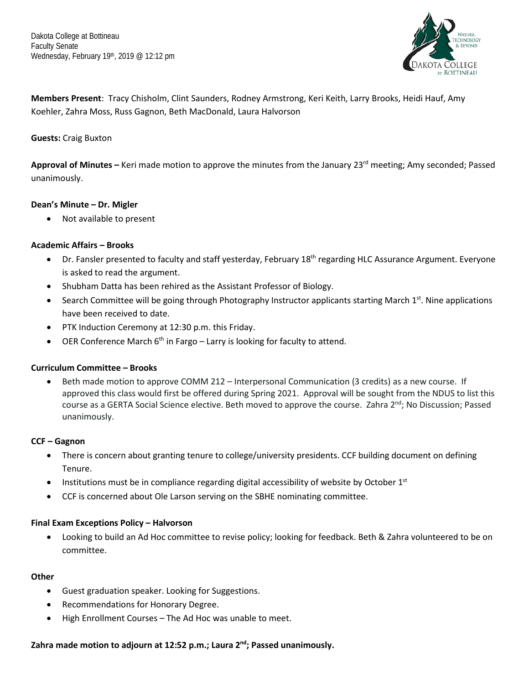

**Members Present**: Tracy Chisholm, Clint Saunders, Rodney Armstrong, Keri Keith, Larry Brooks, Heidi Hauf, Amy Koehler, Zahra Moss, Russ Gagnon, Beth MacDonald, Laura Halvorson

# **Guests:** Craig Buxton

Approval of Minutes – Keri made motion to approve the minutes from the January 23<sup>rd</sup> meeting; Amy seconded; Passed unanimously.

# **Dean's Minute – Dr. Migler**

• Not available to present

# **Academic Affairs – Brooks**

- Dr. Fansler presented to faculty and staff yesterday, February 18<sup>th</sup> regarding HLC Assurance Argument. Everyone is asked to read the argument.
- Shubham Datta has been rehired as the Assistant Professor of Biology.
- Search Committee will be going through Photography Instructor applicants starting March  $1<sup>st</sup>$ . Nine applications have been received to date.
- PTK Induction Ceremony at 12:30 p.m. this Friday.
- OER Conference March  $6<sup>th</sup>$  in Fargo Larry is looking for faculty to attend.

# **Curriculum Committee – Brooks**

• Beth made motion to approve COMM 212 – Interpersonal Communication (3 credits) as a new course. If approved this class would first be offered during Spring 2021. Approval will be sought from the NDUS to list this course as a GERTA Social Science elective. Beth moved to approve the course. Zahra 2<sup>nd</sup>; No Discussion; Passed unanimously.

## **CCF – Gagnon**

- There is concern about granting tenure to college/university presidents. CCF building document on defining Tenure.
- Institutions must be in compliance regarding digital accessibility of website by October  $1<sup>st</sup>$
- CCF is concerned about Ole Larson serving on the SBHE nominating committee.

## **Final Exam Exceptions Policy – Halvorson**

• Looking to build an Ad Hoc committee to revise policy; looking for feedback. Beth & Zahra volunteered to be on committee.

## **Other**

- Guest graduation speaker. Looking for Suggestions.
- Recommendations for Honorary Degree.
- High Enrollment Courses The Ad Hoc was unable to meet.

**Zahra made motion to adjourn at 12:52 p.m.; Laura 2nd; Passed unanimously.**